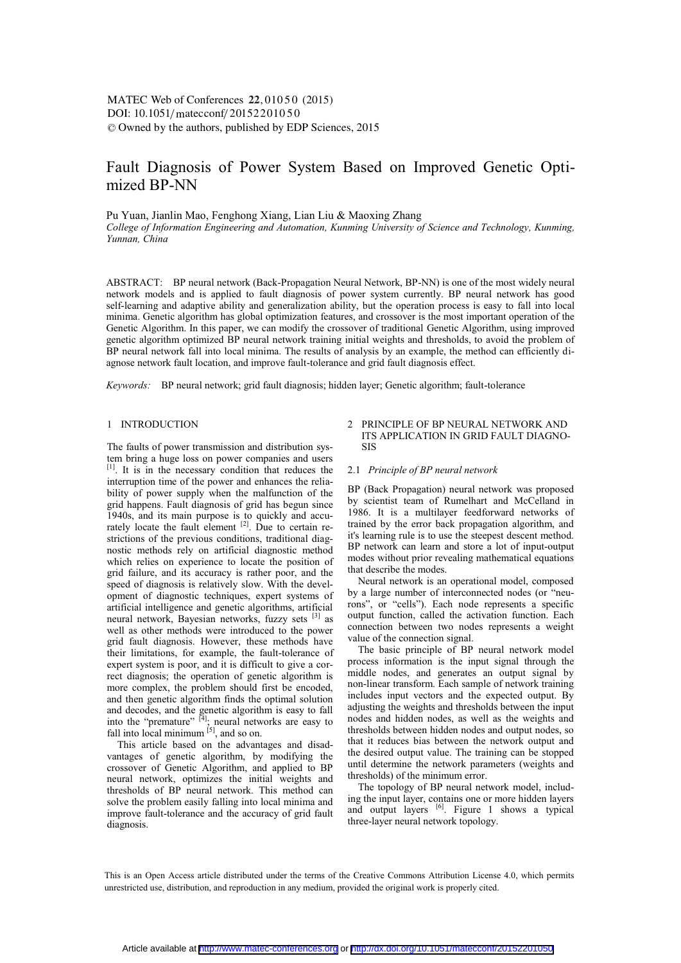# DOI:  $10.1051/\text{mateconf}/20152201050$ -<sup>C</sup> Owned by the authors, published by EDP Sciences, 2015 MATEC Web of Conferences 22,01050 (2015)

# Fault Diagnosis of Power System Based on Improved Genetic Optimized BP-NN

Pu Yuan, Jianlin Mao, Fenghong Xiang, Lian Liu & Maoxing Zhang *College of Information Engineering and Automation, Kunming University of Science and Technology, Kunming, Yunnan, China* 

ABSTRACT: BP neural network (Back-Propagation Neural Network, BP-NN) is one of the most widely neural network models and is applied to fault diagnosis of power system currently. BP neural network has good self-learning and adaptive ability and generalization ability, but the operation process is easy to fall into local minima. Genetic algorithm has global optimization features, and crossover is the most important operation of the Genetic Algorithm. In this paper, we can modify the crossover of traditional Genetic Algorithm, using improved genetic algorithm optimized BP neural network training initial weights and thresholds, to avoid the problem of BP neural network fall into local minima. The results of analysis by an example, the method can efficiently diagnose network fault location, and improve fault-tolerance and grid fault diagnosis effect.

*Keywords:* BP neural network; grid fault diagnosis; hidden layer; Genetic algorithm; fault-tolerance

### 1 INTRODUCTION

The faults of power transmission and distribution system bring a huge loss on power companies and users [1]. It is in the necessary condition that reduces the interruption time of the power and enhances the reliability of power supply when the malfunction of the grid happens. Fault diagnosis of grid has begun since 1940s, and its main purpose is to quickly and accurately locate the fault element  $[2]$ . Due to certain restrictions of the previous conditions, traditional diagnostic methods rely on artificial diagnostic method which relies on experience to locate the position of grid failure, and its accuracy is rather poor, and the speed of diagnosis is relatively slow. With the development of diagnostic techniques, expert systems of artificial intelligence and genetic algorithms, artificial neural network, Bayesian networks, fuzzy sets [3] as well as other methods were introduced to the power grid fault diagnosis. However, these methods have their limitations, for example, the fault-tolerance of expert system is poor, and it is difficult to give a correct diagnosis; the operation of genetic algorithm is more complex, the problem should first be encoded, and then genetic algorithm finds the optimal solution and decodes, and the genetic algorithm is easy to fall into the "premature"  $\frac{[4]}{3}$ ; neural networks are easy to fall into local minimum  $[5]$ , and so on.

 This article based on the advantages and disadvantages of genetic algorithm, by modifying the crossover of Genetic Algorithm, and applied to BP neural network, optimizes the initial weights and thresholds of BP neural network. This method can solve the problem easily falling into local minima and improve fault-tolerance and the accuracy of grid fault diagnosis.

# 2 PRINCIPLE OF BP NEURAL NETWORK AND ITS APPLICATION IN GRID FAULT DIAGNO-SIS

# 2.1 *Principle of BP neural network*

BP (Back Propagation) neural network was proposed by scientist team of Rumelhart and McCelland in 1986. It is a multilayer feedforward networks of trained by the error back propagation algorithm, and it's learning rule is to use the steepest descent method. BP network can learn and store a lot of input-output modes without prior revealing mathematical equations that describe the modes.

Neural network is an operational model, composed by a large number of interconnected nodes (or "neurons", or "cells"). Each node represents a specific output function, called the activation function. Each connection between two nodes represents a weight value of the connection signal.

 The basic principle of BP neural network model process information is the input signal through the middle nodes, and generates an output signal by non-linear transform. Each sample of network training includes input vectors and the expected output. By adjusting the weights and thresholds between the input nodes and hidden nodes, as well as the weights and thresholds between hidden nodes and output nodes, so that it reduces bias between the network output and the desired output value. The training can be stopped until determine the network parameters (weights and thresholds) of the minimum error.

 The topology of BP neural network model, including the input layer, contains one or more hidden layers and output layers <sup>[6]</sup>. Figure 1 shows a typical three-layer neural network topology.

This is an Open Access article distributed under the terms of the Creative Commons Attribution License 4.0, which permits unrestricted use, distribution, and reproduction in any medium, provided the original work is properly cited.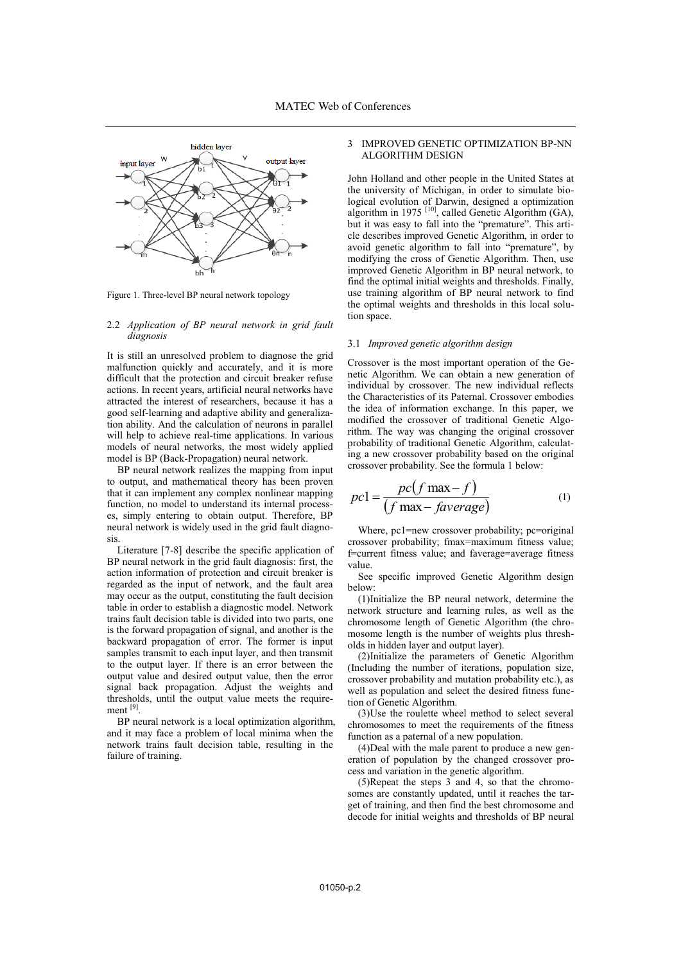

Figure 1. Three-level BP neural network topology

#### 2.2 *Application of BP neural network in grid fault diagnosis*

It is still an unresolved problem to diagnose the grid malfunction quickly and accurately, and it is more difficult that the protection and circuit breaker refuse actions. In recent years, artificial neural networks have attracted the interest of researchers, because it has a good self-learning and adaptive ability and generalization ability. And the calculation of neurons in parallel will help to achieve real-time applications. In various models of neural networks, the most widely applied model is BP (Back-Propagation) neural network.

BP neural network realizes the mapping from input to output, and mathematical theory has been proven that it can implement any complex nonlinear mapping function, no model to understand its internal processes, simply entering to obtain output. Therefore, BP neural network is widely used in the grid fault diagnosis.

Literature [7-8] describe the specific application of BP neural network in the grid fault diagnosis: first, the action information of protection and circuit breaker is regarded as the input of network, and the fault area may occur as the output, constituting the fault decision table in order to establish a diagnostic model. Network trains fault decision table is divided into two parts, one is the forward propagation of signal, and another is the backward propagation of error. The former is input samples transmit to each input layer, and then transmit to the output layer. If there is an error between the output value and desired output value, then the error signal back propagation. Adjust the weights and thresholds, until the output value meets the requirement<sup>[9]</sup>.

BP neural network is a local optimization algorithm, and it may face a problem of local minima when the network trains fault decision table, resulting in the failure of training.

# 3 IMPROVED GENETIC OPTIMIZATION BP-NN ALGORITHM DESIGN

John Holland and other people in the United States at the university of Michigan, in order to simulate biological evolution of Darwin, designed a optimization algorithm in 1975<sup>[10]</sup>, called Genetic Algorithm (GA), but it was easy to fall into the "premature". This article describes improved Genetic Algorithm, in order to avoid genetic algorithm to fall into "premature", by modifying the cross of Genetic Algorithm. Then, use improved Genetic Algorithm in BP neural network, to find the optimal initial weights and thresholds. Finally, use training algorithm of BP neural network to find the optimal weights and thresholds in this local solution space.

# 3.1 *Improved genetic algorithm design*

Crossover is the most important operation of the Genetic Algorithm. We can obtain a new generation of individual by crossover. The new individual reflects the Characteristics of its Paternal. Crossover embodies the idea of information exchange. In this paper, we modified the crossover of traditional Genetic Algorithm. The way was changing the original crossover probability of traditional Genetic Algorithm, calculating a new crossover probability based on the original crossover probability. See the formula 1 below:

$$
pc1 = \frac{pc(f \max - f)}{(f \max - faverage)}
$$
 (1)

Where, pc1=new crossover probability; pc=original crossover probability; fmax=maximum fitness value; f=current fitness value; and faverage=average fitness value.

See specific improved Genetic Algorithm design below:

(1)Initialize the BP neural network, determine the network structure and learning rules, as well as the chromosome length of Genetic Algorithm (the chromosome length is the number of weights plus thresholds in hidden layer and output layer).

(2)Initialize the parameters of Genetic Algorithm (Including the number of iterations, population size, crossover probability and mutation probability etc.), as well as population and select the desired fitness function of Genetic Algorithm.

(3)Use the roulette wheel method to select several chromosomes to meet the requirements of the fitness function as a paternal of a new population.

(4)Deal with the male parent to produce a new generation of population by the changed crossover process and variation in the genetic algorithm.

(5)Repeat the steps 3 and 4, so that the chromosomes are constantly updated, until it reaches the target of training, and then find the best chromosome and decode for initial weights and thresholds of BP neural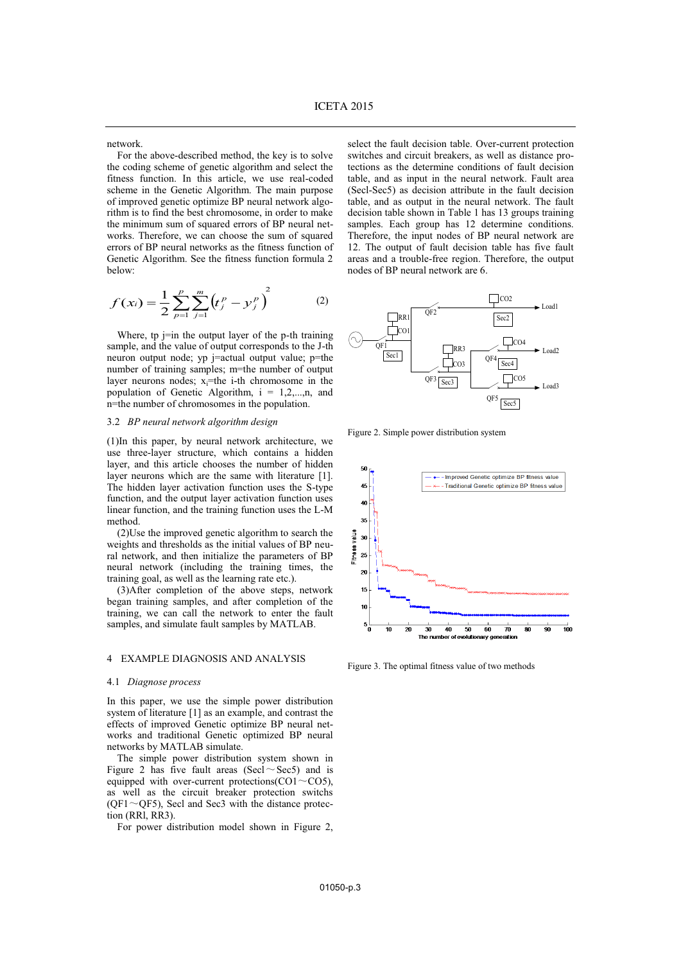network.

For the above-described method, the key is to solve the coding scheme of genetic algorithm and select the fitness function. In this article, we use real-coded scheme in the Genetic Algorithm. The main purpose of improved genetic optimize BP neural network algorithm is to find the best chromosome, in order to make the minimum sum of squared errors of BP neural networks. Therefore, we can choose the sum of squared errors of BP neural networks as the fitness function of Genetic Algorithm. See the fitness function formula 2 below:

$$
f(x_i) = \frac{1}{2} \sum_{p=1}^{p} \sum_{j=1}^{m} (t_j^p - y_j^p)^2
$$
 (2)

Where, tp j=in the output layer of the p-th training sample, and the value of output corresponds to the J-th neuron output node; yp j=actual output value; p=the number of training samples; m=the number of output layer neurons nodes;  $x_i$ =the i-th chromosome in the population of Genetic Algorithm,  $i = 1, 2, \dots, n$ , and n=the number of chromosomes in the population.

#### 3.2 *BP neural network algorithm design*

(1)In this paper, by neural network architecture, we use three-layer structure, which contains a hidden layer, and this article chooses the number of hidden layer neurons which are the same with literature [1]. The hidden layer activation function uses the S-type function, and the output layer activation function uses linear function, and the training function uses the L-M method.

(2)Use the improved genetic algorithm to search the weights and thresholds as the initial values of BP neural network, and then initialize the parameters of BP neural network (including the training times, the training goal, as well as the learning rate etc.).

(3)After completion of the above steps, network began training samples, and after completion of the training, we can call the network to enter the fault samples, and simulate fault samples by MATLAB.

# 4 EXAMPLE DIAGNOSIS AND ANALYSIS

## 4.1 *Diagnose process*

In this paper, we use the simple power distribution system of literature [1] as an example, and contrast the effects of improved Genetic optimize BP neural networks and traditional Genetic optimized BP neural networks by MATLAB simulate.

The simple power distribution system shown in Figure 2 has five fault areas (Secl $\sim$ Sec5) and is equipped with over-current protections( $CO1 \sim CO5$ ), as well as the circuit breaker protection switchs  $(QF1 \sim QF5)$ , Secl and Sec3 with the distance protection (RRl, RR3).

For power distribution model shown in Figure 2,

select the fault decision table. Over-current protection switches and circuit breakers, as well as distance protections as the determine conditions of fault decision table, and as input in the neural network. Fault area (Secl-Sec5) as decision attribute in the fault decision table, and as output in the neural network. The fault decision table shown in Table 1 has 13 groups training samples. Each group has 12 determine conditions. Therefore, the input nodes of BP neural network are 12. The output of fault decision table has five fault areas and a trouble-free region. Therefore, the output nodes of BP neural network are 6.



Figure 2. Simple power distribution system



Figure 3. The optimal fitness value of two methods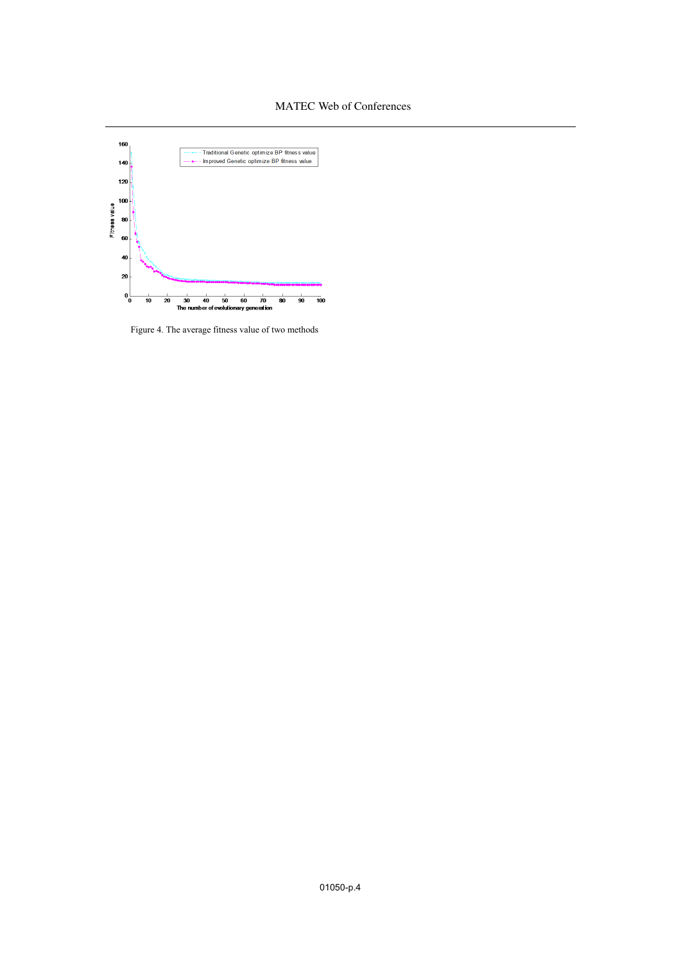

Figure 4. The average fitness value of two methods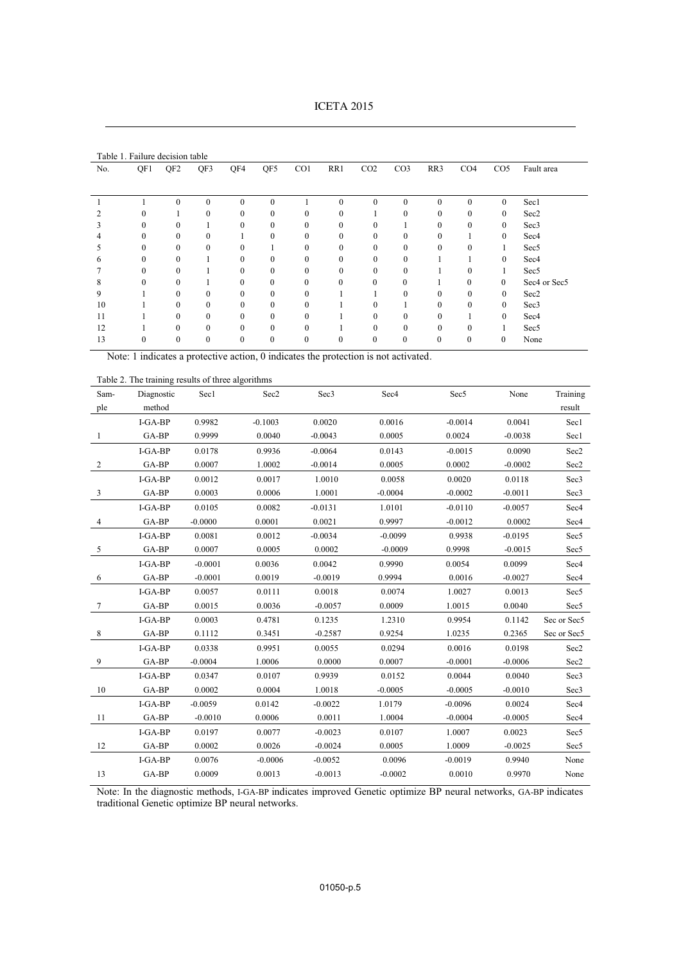ICETA 2015

| Table 1. Failure decision table                                                     |                                      |                                      |                  |                       |                                      |                                      |                       |                   |                                  |                  |                                                                                          |                  |                  |                  |
|-------------------------------------------------------------------------------------|--------------------------------------|--------------------------------------|------------------|-----------------------|--------------------------------------|--------------------------------------|-----------------------|-------------------|----------------------------------|------------------|------------------------------------------------------------------------------------------|------------------|------------------|------------------|
| No.                                                                                 | QF1                                  | QF <sub>2</sub>                      | QF3              | QF4                   | QF5                                  | CO1                                  | RR1                   | CO <sub>2</sub>   | CO <sub>3</sub>                  | RR3              | CO <sub>4</sub>                                                                          | CO <sub>5</sub>  |                  | Fault area       |
|                                                                                     |                                      |                                      |                  |                       |                                      |                                      |                       |                   |                                  |                  |                                                                                          |                  |                  |                  |
| 1                                                                                   | $\mathbf{1}$                         | $\boldsymbol{0}$                     | $\boldsymbol{0}$ | $\boldsymbol{0}$      | $\boldsymbol{0}$                     | $\mathbf{1}$                         | $\boldsymbol{0}$      | $\boldsymbol{0}$  | $\boldsymbol{0}$                 | $\bf{0}$         | $\boldsymbol{0}$                                                                         | 0                | Sec1             |                  |
| $\mathfrak{2}$                                                                      | $\boldsymbol{0}$                     | $\mathbf{1}$                         | $\boldsymbol{0}$ | $\boldsymbol{0}$      | $\boldsymbol{0}$                     | $\boldsymbol{0}$                     | $\boldsymbol{0}$      | $\mathbf{1}$      | $\boldsymbol{0}$                 | $\boldsymbol{0}$ | $\boldsymbol{0}$                                                                         | $\boldsymbol{0}$ | Sec2             |                  |
| 3                                                                                   | $\boldsymbol{0}$                     | $\boldsymbol{0}$                     | 1                | $\boldsymbol{0}$      | $\boldsymbol{0}$                     | $\boldsymbol{0}$                     | $\boldsymbol{0}$      | $\boldsymbol{0}$  | 1                                | $\boldsymbol{0}$ | $\boldsymbol{0}$                                                                         | 0                | Sec <sub>3</sub> |                  |
| 4                                                                                   | $\boldsymbol{0}$                     | $\boldsymbol{0}$                     | $\boldsymbol{0}$ | 1                     | $\boldsymbol{0}$                     | $\boldsymbol{0}$                     | $\boldsymbol{0}$      | $\mathbf{0}$      | $\boldsymbol{0}$                 | $\boldsymbol{0}$ | $\mathbf{1}$                                                                             | $\boldsymbol{0}$ | Sec4             |                  |
| 5                                                                                   | $\boldsymbol{0}$                     | $\boldsymbol{0}$                     | $\boldsymbol{0}$ | $\mathbf{0}$          | 1                                    | $\boldsymbol{0}$                     | $\mathbf{0}$          | 0                 | $\boldsymbol{0}$                 | $\boldsymbol{0}$ | $\boldsymbol{0}$                                                                         | 1                | Sec5             |                  |
| 6                                                                                   | $\boldsymbol{0}$                     | $\boldsymbol{0}$                     | 1<br>1           | $\mathbf{0}$          | $\boldsymbol{0}$                     | $\boldsymbol{0}$                     | $\mathbf{0}$          | 0<br>$\mathbf{0}$ | $\boldsymbol{0}$<br>$\mathbf{0}$ | 1                | 1                                                                                        | 0                | Sec4             |                  |
| 7<br>8                                                                              | $\boldsymbol{0}$<br>$\boldsymbol{0}$ | $\boldsymbol{0}$<br>$\boldsymbol{0}$ | 1                | $\boldsymbol{0}$<br>0 | $\boldsymbol{0}$<br>$\boldsymbol{0}$ | $\boldsymbol{0}$<br>$\boldsymbol{0}$ | $\boldsymbol{0}$<br>0 | $\boldsymbol{0}$  | $\boldsymbol{0}$                 | 1                | $\mathbf{1}$<br>$\boldsymbol{0}$<br>$\mathbf{1}$<br>$\boldsymbol{0}$<br>$\boldsymbol{0}$ |                  | Sec5             | Sec4 or Sec5     |
| 9                                                                                   | 1                                    | $\boldsymbol{0}$                     | $\mathbf{0}$     | $\mathbf{0}$          | $\boldsymbol{0}$                     | $\boldsymbol{0}$                     | 1                     | 1                 | $\mathbf{0}$                     | $\boldsymbol{0}$ | $\boldsymbol{0}$                                                                         | 0                | Sec2             |                  |
| 10                                                                                  | $\mathbf{1}$                         | $\boldsymbol{0}$                     | $\mathbf{0}$     | $\mathbf{0}$          | $\boldsymbol{0}$                     | $\mathbf{0}$                         | $\mathbf{1}$          | $\mathbf{0}$      | $\mathbf{1}$                     | $\boldsymbol{0}$ | $\boldsymbol{0}$                                                                         | $\boldsymbol{0}$ | Sec <sub>3</sub> |                  |
| 11                                                                                  | $\mathbf{1}$                         | $\boldsymbol{0}$                     | $\boldsymbol{0}$ | $\mathbf{0}$          | $\boldsymbol{0}$                     | $\boldsymbol{0}$                     | 1                     | 0                 | $\mathbf{0}$                     | $\boldsymbol{0}$ | 1                                                                                        | 0                | Sec4             |                  |
| 12                                                                                  | 1                                    | $\boldsymbol{0}$                     | $\mathbf{0}$     | $\mathbf{0}$          | $\boldsymbol{0}$                     | 0                                    | 1                     | 0                 | $\mathbf{0}$                     | $\boldsymbol{0}$ | $\boldsymbol{0}$                                                                         | 1                | Sec5             |                  |
| 13                                                                                  | $\boldsymbol{0}$                     | $\boldsymbol{0}$                     | $\boldsymbol{0}$ | $\boldsymbol{0}$      | $\boldsymbol{0}$                     | $\boldsymbol{0}$                     | $\boldsymbol{0}$      | $\mathbf{0}$      | $\boldsymbol{0}$                 | $\boldsymbol{0}$ | $\boldsymbol{0}$                                                                         | $\bf{0}$         | None             |                  |
| Note: 1 indicates a protective action, 0 indicates the protection is not activated. |                                      |                                      |                  |                       |                                      |                                      |                       |                   |                                  |                  |                                                                                          |                  |                  |                  |
| Table 2. The training results of three algorithms                                   |                                      |                                      |                  |                       |                                      |                                      |                       |                   |                                  |                  |                                                                                          |                  |                  |                  |
| Sam-                                                                                |                                      | Sec1<br>Diagnostic                   |                  |                       | Sec2                                 |                                      | Sec <sub>3</sub>      |                   | Sec4                             |                  | Sec <sub>5</sub>                                                                         |                  | None             | Training         |
| ple                                                                                 | method                               |                                      |                  |                       |                                      |                                      |                       |                   |                                  |                  |                                                                                          |                  |                  | result           |
|                                                                                     | I-GA-BP                              |                                      | 0.9982           |                       | $-0.1003$                            |                                      | 0.0020                |                   | 0.0016                           |                  | $-0.0014$                                                                                | 0.0041           |                  | Sec1             |
| 1                                                                                   | GA-BP                                |                                      | 0.9999           |                       | 0.0040                               |                                      | $-0.0043$             |                   | 0.0005                           | 0.0024           |                                                                                          | $-0.0038$        |                  | Sec1             |
|                                                                                     | I-GA-BP                              |                                      | 0.0178           |                       | 0.9936                               |                                      | $-0.0064$             |                   | 0.0143                           |                  | $-0.0015$                                                                                |                  | 0.0090           | Sec2             |
| $\boldsymbol{2}$                                                                    | GA-BP                                |                                      | 0.0007           |                       | 1.0002                               |                                      | $-0.0014$             |                   | 0.0005<br>0.0002                 |                  |                                                                                          |                  | $-0.0002$        | Sec2             |
|                                                                                     | I-GA-BP                              |                                      | 0.0012           |                       | 0.0017                               |                                      | 1.0010                |                   | 0.0058                           |                  | 0.0020                                                                                   |                  | 0.0118           | Sec <sub>3</sub> |
| 3                                                                                   | GA-BP                                |                                      | 0.0003           |                       | 0.0006                               |                                      | 1.0001                |                   | $-0.0004$                        |                  | $-0.0002$                                                                                | $-0.0011$        |                  | Sec <sub>3</sub> |
|                                                                                     | I-GA-BP                              |                                      | 0.0105           |                       | 0.0082                               |                                      | $-0.0131$             |                   | 1.0101                           |                  | $-0.0110$                                                                                |                  | $-0.0057$        | Sec4             |
| 4                                                                                   | GA-BP                                |                                      | $-0.0000$        |                       | 0.0001                               |                                      | 0.0021                |                   | 0.9997                           |                  | $-0.0012$                                                                                |                  | 0.0002           | Sec <sub>4</sub> |
|                                                                                     | I-GA-BP                              |                                      | 0.0081           |                       | 0.0012                               |                                      | $-0.0034$             |                   | $-0.0099$                        |                  | 0.9938                                                                                   |                  | $-0.0195$        | Sec5             |
| 5                                                                                   | GA-BP                                |                                      | 0.0007           |                       | 0.0005                               |                                      | 0.0002                |                   | $-0.0009$                        |                  | 0.9998                                                                                   |                  | $-0.0015$        | Sec <sub>5</sub> |
|                                                                                     | I-GA-BP                              |                                      | $-0.0001$        |                       | 0.0036                               |                                      | 0.0042                |                   | 0.9990                           |                  | 0.0054                                                                                   | 0.0099           |                  | Sec <sub>4</sub> |
| 6                                                                                   | GA-BP                                |                                      | $-0.0001$        |                       | 0.0019                               |                                      | $-0.0019$             |                   | 0.9994                           |                  | 0.0016                                                                                   | $-0.0027$        |                  | Sec4             |
|                                                                                     | I-GA-BP                              |                                      | 0.0057           |                       | 0.0111                               |                                      | 0.0018                |                   | 0.0074                           |                  | 1.0027                                                                                   |                  | 0.0013           | Sec <sub>5</sub> |
| 7                                                                                   | GA-BP                                |                                      | 0.0015           |                       | 0.0036                               |                                      | -0.0057               |                   | 0.0009                           |                  | 1.0015                                                                                   |                  | 0.0040           | Sec <sub>5</sub> |
|                                                                                     | I-GA-BP                              |                                      | 0.0003           |                       | 0.4781                               |                                      | 0.1235                | 1.2310            |                                  |                  | 0.9954                                                                                   |                  | 0.1142           | Sec or Sec5      |
| 8                                                                                   | GA-BP                                |                                      | 0.1112           |                       | 0.3451                               |                                      | $-0.2587$             |                   | 0.9254                           |                  | 1.0235                                                                                   |                  | 0.2365           | Sec or Sec5      |
|                                                                                     | I-GA-BP                              |                                      | 0.0338           |                       | 0.9951                               |                                      | 0.0055                |                   | 0.0294                           |                  | 0.0016                                                                                   |                  | 0.0198           | Sec2             |
| 9                                                                                   | $GA-BP$                              |                                      | $-0.0004$        |                       | 1.0006                               |                                      | 0.0000                |                   | 0.0007                           |                  | $-0.0001$                                                                                |                  | $-0.0006$        | Sec2             |
|                                                                                     | I-GA-BP                              |                                      | 0.0347           |                       | 0.0107                               |                                      | 0.9939                |                   | 0.0152                           |                  | 0.0044                                                                                   |                  | 0.0040           | Sec <sub>3</sub> |
| 10                                                                                  | GA-BP                                |                                      | 0.0002           |                       | 0.0004                               |                                      | 1.0018                |                   | $-0.0005$                        |                  | $-0.0005$                                                                                |                  | $-0.0010$        | Sec <sub>3</sub> |
|                                                                                     | I-GA-BP                              |                                      | $-0.0059$        |                       | 0.0142                               |                                      | $-0.0022$             |                   | 1.0179                           |                  | $-0.0096$                                                                                |                  | 0.0024           | Sec <sub>4</sub> |
| 11                                                                                  | GA-BP                                |                                      | $-0.0010$        |                       | 0.0006                               |                                      | 0.0011                |                   | 1.0004                           |                  | $-0.0004$                                                                                | $-0.0005$        |                  | Sec <sub>4</sub> |
|                                                                                     | I-GA-BP                              |                                      | 0.0197           |                       | 0.0077                               |                                      | $-0.0023$             |                   | 0.0107                           |                  | 1.0007                                                                                   | 0.0023           |                  | Sec <sub>5</sub> |
| 12                                                                                  | GA-BP                                |                                      | 0.0002           |                       | 0.0026                               |                                      | $-0.0024$             |                   | 0.0005                           |                  | 1.0009                                                                                   |                  | $-0.0025$        | Sec <sub>5</sub> |
|                                                                                     | I-GA-BP                              |                                      | 0.0076           |                       | $-0.0006$                            |                                      | $-0.0052$             |                   | 0.0096                           |                  | $-0.0019$                                                                                |                  | 0.9940           | None             |
| 13                                                                                  | GA-BP                                |                                      | 0.0009           |                       | 0.0013                               |                                      | $-0.0013$             |                   | $-0.0002$                        |                  | 0.0010                                                                                   |                  | 0.9970           | None             |
|                                                                                     |                                      |                                      |                  |                       |                                      |                                      |                       |                   |                                  |                  |                                                                                          |                  |                  |                  |

Note: In the diagnostic methods, I-GA-BP indicates improved Genetic optimize BP neural networks, GA-BP indicates traditional Genetic optimize BP neural networks.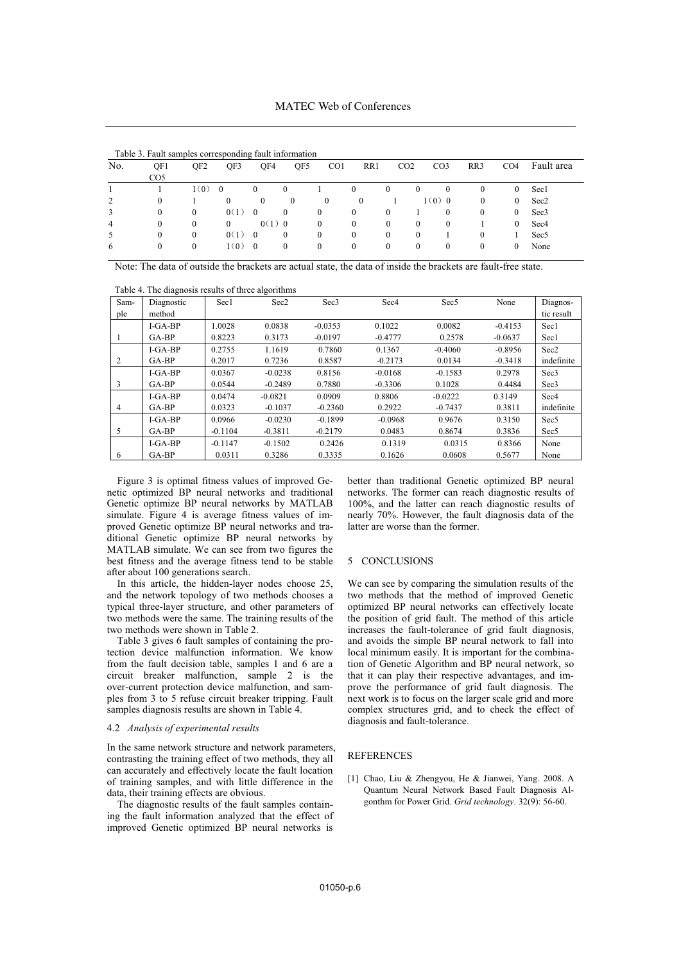| Table 3. Fault samples corresponding fault information |                 |                 |          |          |                 |                 |          |                  |          |                 |                 |                 |                  |
|--------------------------------------------------------|-----------------|-----------------|----------|----------|-----------------|-----------------|----------|------------------|----------|-----------------|-----------------|-----------------|------------------|
| No.                                                    | QF1             | OF <sub>2</sub> | OF3      | QF4      | OF <sub>5</sub> | CO <sub>1</sub> | RR1      | CO <sub>2</sub>  |          | CO <sub>3</sub> | RR <sub>3</sub> | CO <sub>4</sub> | Fault area       |
|                                                        | CO <sub>5</sub> |                 |          |          |                 |                 |          |                  |          |                 |                 |                 |                  |
|                                                        |                 | 1(0)            | $\theta$ |          | $\Omega$        |                 | 0        | $_{0}$           | $\theta$ | $^{(1)}$        | 0               | 0               | Sec1             |
| $\overline{2}$                                         | $\mathbf{0}$    |                 |          | 0        | 0               | $\theta$        | $\Omega$ |                  |          | 1(0)0           | 0               | 0               | Sec2             |
| 3                                                      | $\theta$        | 0               | 0(1)     | $\Omega$ | $\bf{0}$        | $\Omega$        | $\theta$ | $\theta$         |          | $\theta$        | 0               | $\mathbf{0}$    | Sec <sub>3</sub> |
| 4                                                      | $\mathbf{0}$    | 0               | $\Omega$ | $0(1)$ 0 |                 | 0               | $\theta$ | $\Omega$         | $\theta$ | $\theta$        |                 | 0               | Sec <sub>4</sub> |
|                                                        | 0               | 0               | 0(1)     | $\Omega$ | 0               | $\theta$        | $\Omega$ | $\Omega$         | $\Omega$ |                 | 0               |                 | Sec <sub>5</sub> |
| 6                                                      | $\mathbf{0}$    | 0               | 1(0)     | $\Omega$ | 0               | 0               | $\Omega$ | $\boldsymbol{0}$ | $\theta$ | $\theta$        | 0               | $\theta$        | None             |

Note: The data of outside the brackets are actual state, the data of inside the brackets are fault-free state.

|      | Table 4. The diagnosis results of three algorithms |           |           |                  |                  |                  |           |                  |
|------|----------------------------------------------------|-----------|-----------|------------------|------------------|------------------|-----------|------------------|
| Sam- | Diagnostic                                         | Sec1      | Sec2      | Sec <sub>3</sub> | Sec <sub>4</sub> | Sec <sub>5</sub> | None      | Diagnos-         |
| ple  | method                                             |           |           |                  |                  |                  |           | tic result       |
|      | $I-GA-BP$                                          | 1.0028    | 0.0838    | $-0.0353$        | 0.1022           | 0.0082           | $-0.4153$ | Sec1             |
|      | $GA-BP$                                            | 0.8223    | 0.3173    | $-0.0197$        | $-0.4777$        | 0.2578           | $-0.0637$ | Sec1             |
|      | $I-GA-BP$                                          | 0.2755    | 1.1619    | 0.7860           | 0.1367           | $-0.4060$        | $-0.8956$ | Sec2             |
| 2    | $GA-BP$                                            | 0.2017    | 0.7236    | 0.8587           | $-0.2173$        | 0.0134           | $-0.3418$ | indefinite       |
|      | $I-GA-BP$                                          | 0.0367    | $-0.0238$ | 0.8156           | $-0.0168$        | $-0.1583$        | 0.2978    | Sec <sub>3</sub> |
| 3    | $GA-BP$                                            | 0.0544    | $-0.2489$ | 0.7880           | $-0.3306$        | 0.1028           | 0.4484    | Sec <sub>3</sub> |
|      | $I-GA-BP$                                          | 0.0474    | $-0.0821$ | 0.0909           | 0.8806           | $-0.0222$        | 0.3149    | Sec4             |
| 4    | $GA-BP$                                            | 0.0323    | $-0.1037$ | $-0.2360$        | 0.2922           | $-0.7437$        | 0.3811    | indefinite       |
|      | $I-GA-BP$                                          | 0.0966    | $-0.0230$ | $-0.1899$        | $-0.0968$        | 0.9676           | 0.3150    | Sec <sub>5</sub> |
| 5    | $GA-BP$                                            | $-0.1104$ | $-0.3811$ | $-0.2179$        | 0.0483           | 0.8674           | 0.3836    | Sec <sub>5</sub> |
|      | $I-GA-BP$                                          | $-0.1147$ | $-0.1502$ | 0.2426           | 0.1319           | 0.0315           | 0.8366    | None             |
| 6    | $GA-BP$                                            | 0.0311    | 0.3286    | 0.3335           | 0.1626           | 0.0608           | 0.5677    | None             |

Figure 3 is optimal fitness values of improved Genetic optimized BP neural networks and traditional Genetic optimize BP neural networks by MATLAB simulate. Figure 4 is average fitness values of improved Genetic optimize BP neural networks and traditional Genetic optimize BP neural networks by MATLAB simulate. We can see from two figures the best fitness and the average fitness tend to be stable after about 100 generations search.

6 GA-BP

In this article, the hidden-layer nodes choose 25, and the network topology of two methods chooses a typical three-layer structure, and other parameters of two methods were the same. The training results of the two methods were shown in Table 2.

Table 3 gives 6 fault samples of containing the protection device malfunction information. We know from the fault decision table, samples 1 and 6 are a circuit breaker malfunction, sample 2 is the over-current protection device malfunction, and samples from 3 to 5 refuse circuit breaker tripping. Fault samples diagnosis results are shown in Table 4.

#### 4.2 *Analysis of experimental results*

In the same network structure and network parameters, contrasting the training effect of two methods, they all can accurately and effectively locate the fault location of training samples, and with little difference in the data, their training effects are obvious.

The diagnostic results of the fault samples containing the fault information analyzed that the effect of improved Genetic optimized BP neural networks is

better than traditional Genetic optimized BP neural networks. The former can reach diagnostic results of 100%, and the latter can reach diagnostic results of nearly 70%. However, the fault diagnosis data of the latter are worse than the former.

#### 5 CONCLUSIONS

0.0311 0.3286 0.3335 0.1626 0.0608 0.5677

We can see by comparing the simulation results of the two methods that the method of improved Genetic optimized BP neural networks can effectively locate the position of grid fault. The method of this article increases the fault-tolerance of grid fault diagnosis, and avoids the simple BP neural network to fall into local minimum easily. It is important for the combination of Genetic Algorithm and BP neural network, so that it can play their respective advantages, and improve the performance of grid fault diagnosis. The next work is to focus on the larger scale grid and more complex structures grid, and to check the effect of diagnosis and fault-tolerance.

#### REFERENCES

[1] Chao, Liu & Zhengyou, He & Jianwei, Yang. 2008. A Quantum Neural Network Based Fault Diagnosis Algonthm for Power Grid. *Grid technology*. 32(9): 56-60.